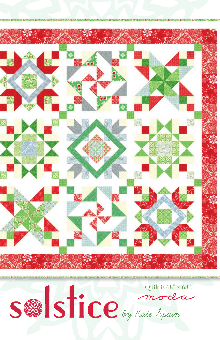

SAS STICE by Kate Spain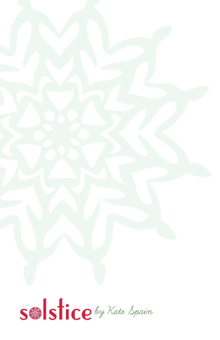

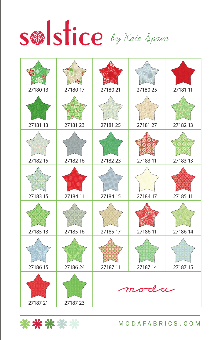

| 27180 13 | 27180 17 | 27180 21 | 27180 25 | 27181 11 |
|----------|----------|----------|----------|----------|
| 27181 13 | 27181 23 | 27181 25 | 27181 27 | 27182 13 |
| 27182 15 | 27182 16 | 27182 23 | 27183 11 | 27183 13 |
| 27183 15 | 27184 11 | 27184 15 | 27184 17 | 27185 11 |
| 27185 13 | 27185 16 | 27185 17 | 27186 11 | 27186 14 |
| 27186 15 | 27186 24 | 27187 11 | 27187 14 | 27187 15 |
| 27187 21 | 2718723  |          | moda     |          |

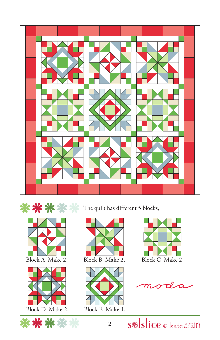





\*\*\*\*\*

\*\*\*\* The quilt has different 5 blocks,







oda

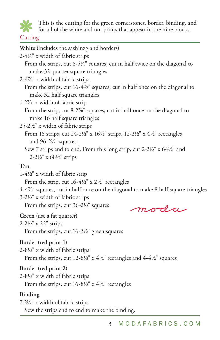

This is the cutting for the green cornerstones, border, binding, and

for all of the white and tan prints that appear in the nine blocks.

#### **Cutting**

**White** (includes the sashinzg and borders) 2-51/4" x width of fabric strips From the strips, cut 8-51/4" squares, cut in half twice on the diagonal to make 32 quarter square triangles 2-47/8" x width of fabric strips From the strips, cut 16-4%" squares, cut in half once on the diagonal to make 32 half square triangles 1-27/8" x width of fabric strip From the strip, cut 8-2%" squares, cut in half once on the diagonal to make 16 half square triangles  $25-2\frac{1}{2}$ " x width of fabric strips From 18 strips, cut 24-21/2" x  $16\frac{1}{2}$ " strips, 12-21/2" x  $4\frac{1}{2}$ " rectangles, and 96-21/2" squares Sew 7 strips end to end. From this long strip, cut  $2-2\frac{1}{2}$ " x  $64\frac{1}{2}$ " and 2-21/2" x 681/2" strips **Tan** 1-41/2" x width of fabric strip From the strip, cut  $16-4\frac{1}{2}$ " x  $2\frac{1}{2}$ " rectangles 4-47/8" squares, cut in half once on the diagonal to make 8 half square triangles 3-21/2" x width of fabric strips From the strips, cut 36-2½" squares moda **Green** (use a fat quarter) 2-21/2" x 22" strips From the strips, cut 16-2½" green squares **Border (red print 1)**  2-81/2" x width of fabric strips From the strips, cut  $12-8\frac{1}{2}$ " x  $4\frac{1}{2}$ " rectangles and  $4-4\frac{1}{2}$ " squares **Border (red print 2)** 2-81/2" x width of fabric strips From the strips, cut  $16-8\frac{1}{2}$ " x  $4\frac{1}{2}$ " rectangles

#### **Binding**

7-21/2" x width of fabric strips Sew the strips end to end to make the binding.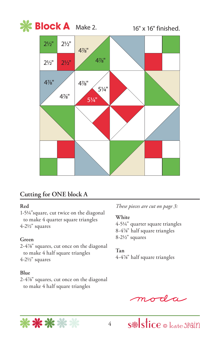

### **Cutting for ONE block A**

#### **Red**

1-51/4"square, cut twice on the diagonal to make 4 quarter square triangles 4-21/2" squares

#### **Green**

2-47/8" squares, cut once on the diagonal to make 4 half square triangles 4-21/2" squares

#### **Blue**

2-47/8" squares, cut once on the diagonal to make 4 half square triangles

*These pieces are cut on page 3:*

#### **White**

4-51/4" quarter square triangles 8-47/8" half square triangles 8-21/2" squares

#### **Tan**

4-47/8" half square triangles

oda

s Istice  $\circ$  kate Spain

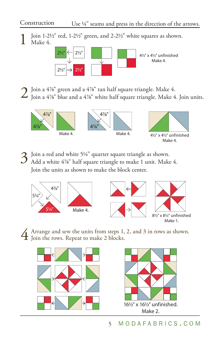#### Construction Use  $\frac{1}{4}$ " seams and press in the direction of the arrows.

Join 1-2 $\frac{1}{2}$ " red, 1-2 $\frac{1}{2}$ " green, and 2-2 $\frac{1}{2}$ " white squares as shown. Make 4.



 $2$  Join a 4%" green and a 4%" tan half square triangle. Make 4.<br>Ioin a 4%" blue and a 4%" white half square triangle. Make 4. Join units.



 $3$  Join a red and white 5¼" quarter square triangle as shown.<br>  $3$  Add a white 4%" half square triangle to make 1 unit. Make 4. Join the units as shown to make the block center.







4 Arrange and sew the units from steps 1, 2, and 3 in rows as shown. Join the rows. Repeat to make 2 blocks.



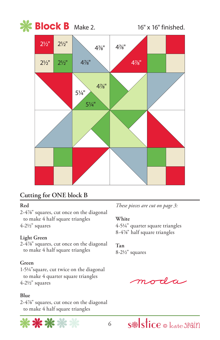

### **Cutting for ONE block B**

#### **Red**

2-47/8" squares, cut once on the diagonal to make 4 half square triangles 4-21/2" squares

#### **Light Green**

2-47/8" squares, cut once on the diagonal to make 4 half square triangles

#### **Green**

1-51/4"square, cut twice on the diagonal to make 4 quarter square triangles 4-21/2" squares

#### **Blue**

2-47/8" squares, cut once on the diagonal to make 4 half square triangles



*These pieces are cut on page 3:*

#### **White**

4-51/4" quarter square triangles 8-4%" half square triangles

**Tan** 8-21/2" squares

 $\sigma\tau l\pi$ 

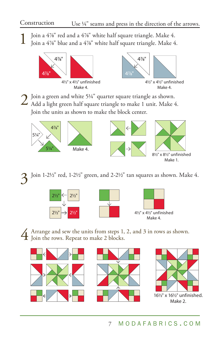1 Join a 47/8" red and a 47/8" white half square triangle. Make 4. Join a 47/8" blue and a 47/8" white half square triangle. Make 4.





2 Join a green and white 51/4" quarter square triangle as shown. Add a light green half square triangle to make 1 unit. Make 4. Join the units as shown to make the block center.



Join 1-21/2" red, 1-21/2" green, and 2-21/2" tan squares as shown. Make 4.







4 Arrange and sew the units from steps 1, 2, and 3 in rows as shown. Join the rows. Repeat to make 2 blocks.





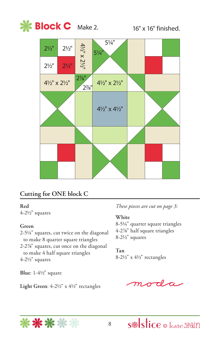



## **Cutting for ONE block C**

#### **Red**

4-21/2" squares

#### **Green**

2-51/4" squares, cut twice on the diagonal to make 8 quarter square triangles 2-27/8" squares, cut once on the diagonal to make 4 half square triangles 4-21/2" squares

**Blue**: 1-41/2" square

Light Green:  $4-2\frac{1}{2}$ " x  $4\frac{1}{2}$ " rectangles

*These pieces are cut on page 3:*

#### **White**

8-51/4" quarter square triangles 4-27/8" half square triangles 8-21/2" squares

#### **Tan**

8-21/2" x 41/2" rectangles

 $\sigma$ da

s<sup>®</sup>stice © kate Spain

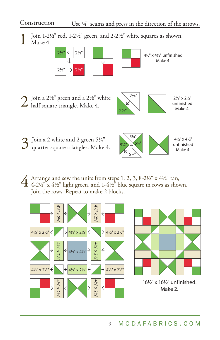Construction Use  $\frac{1}{4}$ " seams and press in the direction of the arrows.

Join 1-2 $\frac{1}{2}$ " red, 1-2 $\frac{1}{2}$ " green, and 2-2 $\frac{1}{2}$ " white squares as shown. Make 4.



 $2^{\int \int \sin a 2\%''}$  green and a 2%" white half square triangle. Make 4.



21/2" x 21/2" unfinished Make 4.

 $3$  Join a 2 white and 2 green 5¼" quarter square triangles. Make 4.



 $\overline{4}$  Arrange and sew the units from steps 1, 2, 3, 8-21/2" x 41/2" tan,<br>4-21/2" x 41/2" light green, and 1-41/2" blue square in rows as shown. Join the rows. Repeat to make 2 blocks.

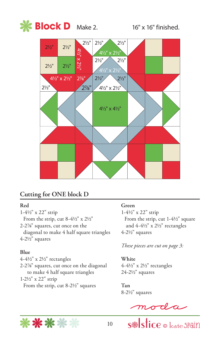

### **Cutting for ONE block D**

#### **Red**

1-41/2" x 22" strip From the strip, cut 8-4½" x 2½" 2-27/8" squares, cut once on the diagonal to make 4 half square triangles 4-21/2" squares

#### **Blue**

 $4-4\frac{1}{2}$ " x  $2\frac{1}{2}$ " rectangles 2-27/8" squares, cut once on the diagonal to make 4 half square triangles 1-21/2" x 22" strip From the strip, cut 8-2½" squares

#### **Green**

1-41/2" x 22" strip From the strip, cut 1-4½" square and 4-41/2" x 21/2" rectangles 4-21/2" squares

*These pieces are cut on page 3:*

**White** 4-41/2" x 21/2" rectangles 24-21/2" squares

**Tan** 8-21/2" squares



 $\frac{moda}{s$ stice o kate spain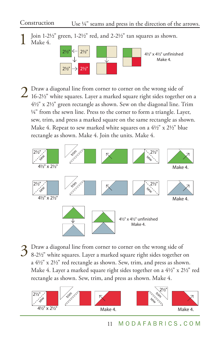### Construction Use ¼" seams and press in the direction of the arrows.

Join 1-2 $\frac{1}{2}$ " green, 1-2 $\frac{1}{2}$ " red, and 2-2 $\frac{1}{2}$ " tan squares as shown. Make 4.



 $2$  Draw a diagonal line from corner to corner on the wrong side of 16-2½" white squares. Layer a marked square right sides together on a 41/2" x 21/2" green rectangle as shown. Sew on the diagonal line. Trim 1/4" from the sewn line. Press to the corner to form a triangle. Layer, sew, trim, and press a marked square on the same rectangle as shown. Make 4. Repeat to sew marked white squares on a  $4\frac{1}{2}$ " x  $2\frac{1}{2}$ " blue rectangle as shown. Make 4. Join the units. Make 4.



 $3$  Draw a diagonal line from corner to corner on the wrong side of 8-2½" white squares. Layer a marked square right sides together on a  $4\frac{1}{2}$ " x  $2\frac{1}{2}$ " red rectangle as shown. Sew, trim, and press as shown. Make 4. Layer a marked square right sides together on a 41/2" x 21/2" red rectangle as shown. Sew, trim, and press as shown. Make 4.

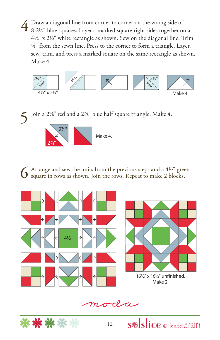$4$  Draw a diagonal line from corner to corner on the wrong side of 8-2½" blue squares. Layer a marked square right sides together on a 41/2" x 21/2" white rectangle as shown. Sew on the diagonal line. Trim <sup>1/4"</sup> from the sewn line. Press to the corner to form a triangle. Layer, sew, trim, and press a marked square on the same rectangle as shown. Make 4.



 $\blacktriangle$  Join a 2%" red and a 2%" blue half square triangle. Make 4.



 $6$  Arrange and sew the units from the previous steps and a  $4\frac{1}{2}$ " green square in rows as shown. Join the rows. Repeat to make 2 blocks.



moda

s<sup>®</sup>stice © kate SPain

\*\*\*\*\*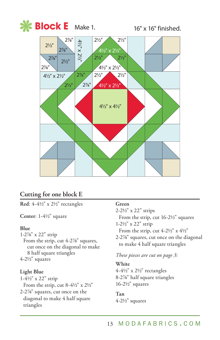

### **Cutting for one block E**

**Red**: 4-41/2" x 21/2" rectangles

**Center**: 1-41/2" square

#### **Blue**

1-27/8" x 22" strip From the strip, cut 4-2%" squares, cut once on the diagonal to make 8 half square triangles 4-21/2" squares

#### **Light Blue**

triangles

1-41/2" x 22" strip From the strip, cut  $8-4\frac{1}{2}$ " x  $2\frac{1}{2}$ " 2-27/8" squares, cut once on the diagonal to make 4 half square

#### **Green**

2-21/2" x 22" strips

From the strip, cut 16-2½" squares 1-21/2" x 22" strip

From the strip, cut 4-21/2" x 41/2"

2-27/8" squares, cut once on the diagonal to make 4 half square triangles

*These pieces are cut on page 3:*

#### **White**

4-41/2" x 21/2" rectangles 8-27/8" half square triangles 16-21/2" squares

# **Tan**

4-21/2" squares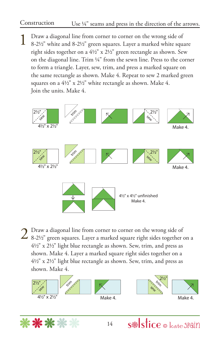### Construction Use ¼" seams and press in the direction of the arrows.

1 Draw a diagonal line from corner to corner on the wrong side of 8-21/2" white and 8-21/2" green squares. Layer a marked white square right sides together on a 41/2" x 21/2" green rectangle as shown. Sew on the diagonal line. Trim 1/4" from the sewn line. Press to the corner to form a triangle. Layer, sew, trim, and press a marked square on the same rectangle as shown. Make 4. Repeat to sew 2 marked green squares on a  $4\frac{1}{2}$ " x  $2\frac{1}{2}$ " white rectangle as shown. Make 4. Join the units. Make 4.



 $2^{\circ}$  Draw a diagonal line from corner to corner on the wrong side of 8-2½" green squares. Layer a marked square right sides together on a 41/2" x 21/2" light blue rectangle as shown. Sew, trim, and press as shown. Make 4. Layer a marked square right sides together on a 41/2" x 21/2" light blue rectangle as shown. Sew, trim, and press as shown. Make 4.





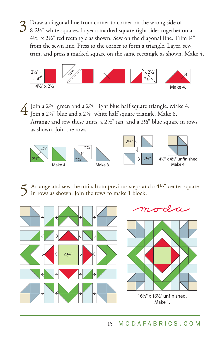$3$  Draw a diagonal line from corner to corner on the wrong side of 8-2½" white squares. Layer a marked square right sides together on a  $4\frac{1}{2}$ " x  $2\frac{1}{2}$ " red rectangle as shown. Sew on the diagonal line. Trim  $\frac{1}{4}$ " from the sewn line. Press to the corner to form a triangle. Layer, sew, trim, and press a marked square on the same rectangle as shown. Make 4.



 $\overline{4}$  Join a 2%" green and a 2%" light blue half square triangle. Make 4.<br>Join a 2%" blue and a 2%" white half square triangle. Make 8. Arrange and sew these units, a 21/2" tan, and a 21/2" blue square in rows as shown. Join the rows.



Arrange and sew the units from previous steps and a  $4\frac{1}{2}$ " center square in rows as shown. Join the rows to make 1 block.





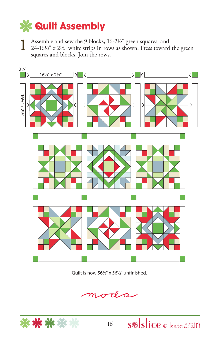# **Quilt Assembly**

**1** Assemble and sew the 9 blocks,  $16-2\frac{1}{2}$ " green squares, and  $24-16\frac{1}{2}$ " x  $2\frac{1}{2}$ " white strips in rows as shown. Press toward the green squares and blocks. Join the rows.



Quilt is now 561/2" x 561/2" unfinished.

moda

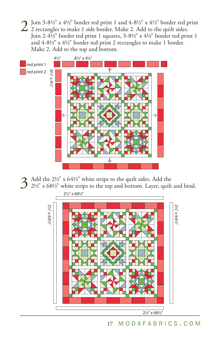$2 \text{ join } 3-8\frac{1}{2}$  "  $\geq 4\frac{1}{2}$ "  $\geq 4\frac{1}{2}$ "  $\geq 4\frac{1}{2}$ "  $\geq 4\frac{1}{2}$ "  $\geq 4\frac{1}{2}$ "  $\geq 4\frac{1}{2}$ "  $\geq 4\frac{1}{2}$ "  $\geq 4\frac{1}{2}$ "  $\geq 4\frac{1}{2}$ "  $\geq 4\frac{1}{2}$ "  $\geq 4\frac{1}{2}$ "  $\geq 4\frac{1}{2}$ "  $\geq 4\$ Join 2-4<sup>1</sup>/<sub>2</sub>" border red print 1 squares, 3-8<sup>1</sup>/<sub>2</sub>" x 4<sup>1</sup>/<sub>2</sub>" border red print 1 and 4-81/2" x 41/2" border red print 2 rectangles to make 1 border. Make 2. Add to the top and bottom.



 $3$  Add the 2½" x 64½" white strips to the quilt sides. Add the 2½" x 68½" white strips to the top and bottom. Layer, quilt and bind.